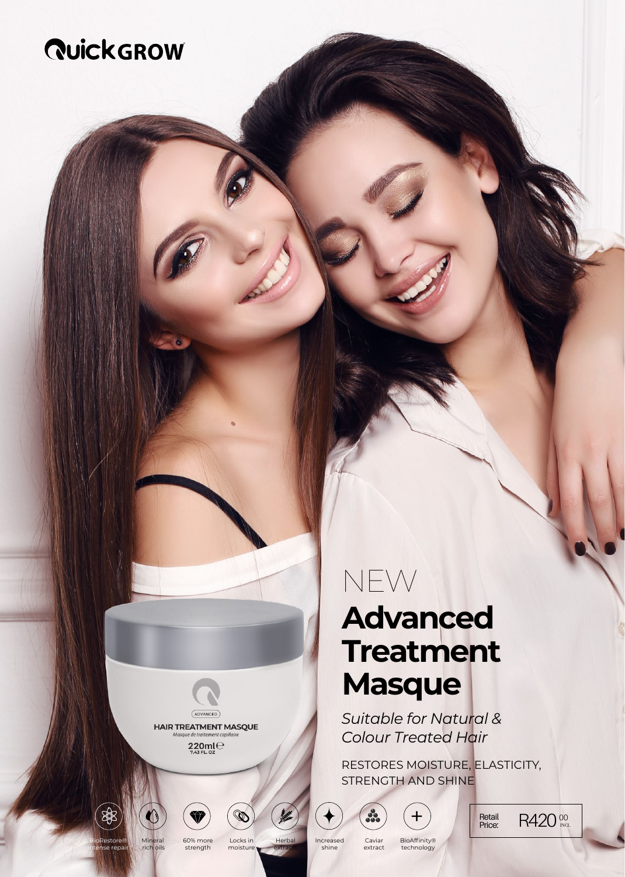# *<u>RuickGROW</u>*

**ADVANCED HAIR TREATMENT MASQUE** 

## $220mC$



strength

**Herbal** Locks in

moisture

extracts

Incre shine

Caviar extract

**BioAffinity®** technology

STRENGTH AND SHINE

 $+$ 

**Advanced**

**Treatment**

*Suitable for Natural & Colour Treated Hair*

RESTORES MOISTURE, ELASTICITY,

**Masque**

NEW

Retail R420 <sup>00</sup>

#### Mineral rich oils BioRestore® intense repair